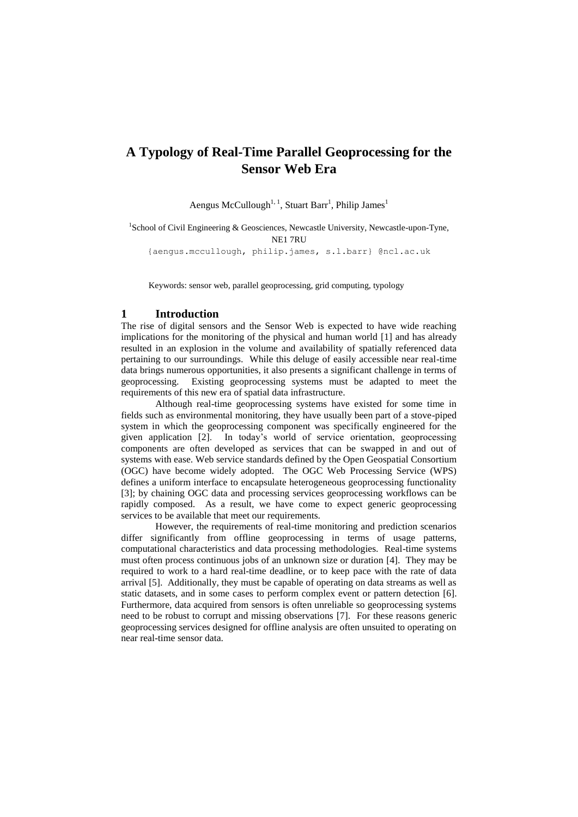# **A Typology of Real-Time Parallel Geoprocessing for the Sensor Web Era**

Aengus McCullough<sup>1, 1</sup>, Stuart Barr<sup>1</sup>, Philip James<sup>1</sup>

<sup>1</sup>School of Civil Engineering & Geosciences, Newcastle University, Newcastle-upon-Tyne, NE1 7RU {aengus.mccullough, philip.james, s.l.barr} @ncl.ac.uk

Keywords: sensor web, parallel geoprocessing, grid computing, typology

### **1 Introduction**

The rise of digital sensors and the Sensor Web is expected to have wide reaching implications for the monitoring of the physical and human world [1] and has already resulted in an explosion in the volume and availability of spatially referenced data pertaining to our surroundings. While this deluge of easily accessible near real-time data brings numerous opportunities, it also presents a significant challenge in terms of geoprocessing. Existing geoprocessing systems must be adapted to meet the requirements of this new era of spatial data infrastructure.

Although real-time geoprocessing systems have existed for some time in fields such as environmental monitoring, they have usually been part of a stove-piped system in which the geoprocessing component was specifically engineered for the given application [2]. In today's world of service orientation, geoprocessing components are often developed as services that can be swapped in and out of systems with ease. Web service standards defined by the Open Geospatial Consortium (OGC) have become widely adopted. The OGC Web Processing Service (WPS) defines a uniform interface to encapsulate heterogeneous geoprocessing functionality [3]; by chaining OGC data and processing services geoprocessing workflows can be rapidly composed. As a result, we have come to expect generic geoprocessing services to be available that meet our requirements.

However, the requirements of real-time monitoring and prediction scenarios differ significantly from offline geoprocessing in terms of usage patterns, computational characteristics and data processing methodologies. Real-time systems must often process continuous jobs of an unknown size or duration [4]. They may be required to work to a hard real-time deadline, or to keep pace with the rate of data arrival [5]. Additionally, they must be capable of operating on data streams as well as static datasets, and in some cases to perform complex event or pattern detection [6]. Furthermore, data acquired from sensors is often unreliable so geoprocessing systems need to be robust to corrupt and missing observations [7]. For these reasons generic geoprocessing services designed for offline analysis are often unsuited to operating on near real-time sensor data.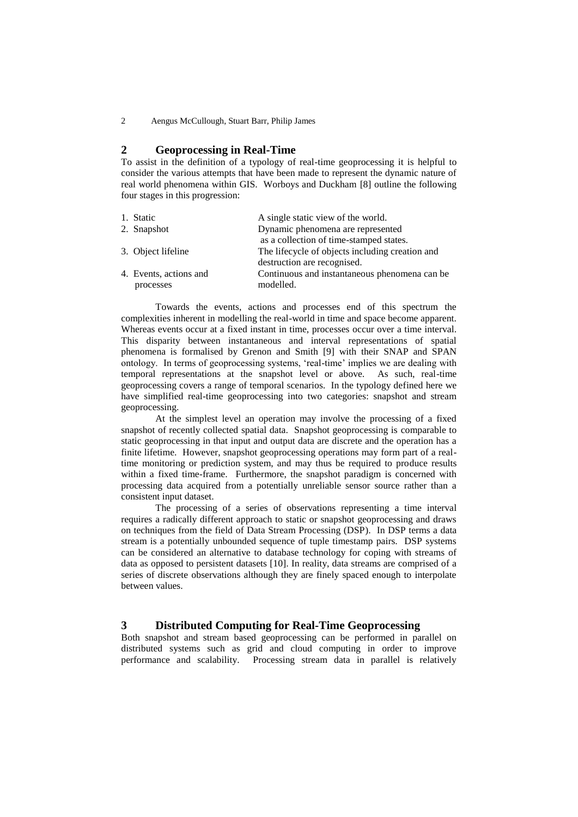2 Aengus McCullough, Stuart Barr, Philip James

### **2 Geoprocessing in Real-Time**

To assist in the definition of a typology of real-time geoprocessing it is helpful to consider the various attempts that have been made to represent the dynamic nature of real world phenomena within GIS. Worboys and Duckham [8] outline the following four stages in this progression:

|           | A single static view of the world.                                       |  |
|-----------|--------------------------------------------------------------------------|--|
|           | Dynamic phenomena are represented                                        |  |
|           | as a collection of time-stamped states.                                  |  |
|           | The lifecycle of objects including creation and                          |  |
|           | destruction are recognised.                                              |  |
|           | Continuous and instantaneous phenomena can be                            |  |
| processes | modelled.                                                                |  |
|           | 1. Static<br>2. Snapshot<br>3. Object lifeline<br>4. Events, actions and |  |

Towards the events, actions and processes end of this spectrum the complexities inherent in modelling the real-world in time and space become apparent. Whereas events occur at a fixed instant in time, processes occur over a time interval. This disparity between instantaneous and interval representations of spatial phenomena is formalised by Grenon and Smith [9] with their SNAP and SPAN ontology. In terms of geoprocessing systems, 'real-time' implies we are dealing with temporal representations at the snapshot level or above. As such, real-time geoprocessing covers a range of temporal scenarios. In the typology defined here we have simplified real-time geoprocessing into two categories: snapshot and stream geoprocessing.

At the simplest level an operation may involve the processing of a fixed snapshot of recently collected spatial data. Snapshot geoprocessing is comparable to static geoprocessing in that input and output data are discrete and the operation has a finite lifetime. However, snapshot geoprocessing operations may form part of a realtime monitoring or prediction system, and may thus be required to produce results within a fixed time-frame. Furthermore, the snapshot paradigm is concerned with processing data acquired from a potentially unreliable sensor source rather than a consistent input dataset.

The processing of a series of observations representing a time interval requires a radically different approach to static or snapshot geoprocessing and draws on techniques from the field of Data Stream Processing (DSP). In DSP terms a data stream is a potentially unbounded sequence of tuple timestamp pairs. DSP systems can be considered an alternative to database technology for coping with streams of data as opposed to persistent datasets [10]. In reality, data streams are comprised of a series of discrete observations although they are finely spaced enough to interpolate between values.

# **3 Distributed Computing for Real-Time Geoprocessing**

Both snapshot and stream based geoprocessing can be performed in parallel on distributed systems such as grid and cloud computing in order to improve performance and scalability. Processing stream data in parallel is relatively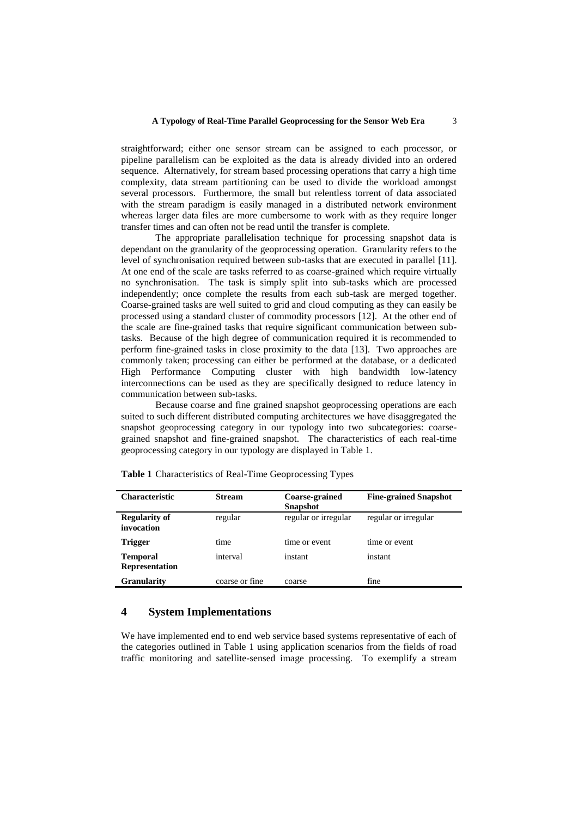#### **A Typology of Real-Time Parallel Geoprocessing for the Sensor Web Era** 3

straightforward; either one sensor stream can be assigned to each processor, or pipeline parallelism can be exploited as the data is already divided into an ordered sequence. Alternatively, for stream based processing operations that carry a high time complexity, data stream partitioning can be used to divide the workload amongst several processors. Furthermore, the small but relentless torrent of data associated with the stream paradigm is easily managed in a distributed network environment whereas larger data files are more cumbersome to work with as they require longer transfer times and can often not be read until the transfer is complete.

The appropriate parallelisation technique for processing snapshot data is dependant on the granularity of the geoprocessing operation. Granularity refers to the level of synchronisation required between sub-tasks that are executed in parallel [11]. At one end of the scale are tasks referred to as coarse-grained which require virtually no synchronisation. The task is simply split into sub-tasks which are processed independently; once complete the results from each sub-task are merged together. Coarse-grained tasks are well suited to grid and cloud computing as they can easily be processed using a standard cluster of commodity processors [12]. At the other end of the scale are fine-grained tasks that require significant communication between subtasks. Because of the high degree of communication required it is recommended to perform fine-grained tasks in close proximity to the data [13]. Two approaches are commonly taken; processing can either be performed at the database, or a dedicated High Performance Computing cluster with high bandwidth low-latency interconnections can be used as they are specifically designed to reduce latency in communication between sub-tasks.

Because coarse and fine grained snapshot geoprocessing operations are each suited to such different distributed computing architectures we have disaggregated the snapshot geoprocessing category in our typology into two subcategories: coarsegrained snapshot and fine-grained snapshot. The characteristics of each real-time geoprocessing category in our typology are displayed in Table 1.

| <b>Characteristic</b>                    | <b>Stream</b>  | Coarse-grained<br><b>Snapshot</b> | <b>Fine-grained Snapshot</b> |
|------------------------------------------|----------------|-----------------------------------|------------------------------|
| <b>Regularity of</b><br>invocation       | regular        | regular or irregular              | regular or irregular         |
| <b>Trigger</b>                           | time           | time or event                     | time or event                |
| <b>Temporal</b><br><b>Representation</b> | interval       | instant                           | instant                      |
| <b>Granularity</b>                       | coarse or fine | coarse                            | fine                         |

**Table 1** Characteristics of Real-Time Geoprocessing Types

### **4 System Implementations**

We have implemented end to end web service based systems representative of each of the categories outlined in Table 1 using application scenarios from the fields of road traffic monitoring and satellite-sensed image processing. To exemplify a stream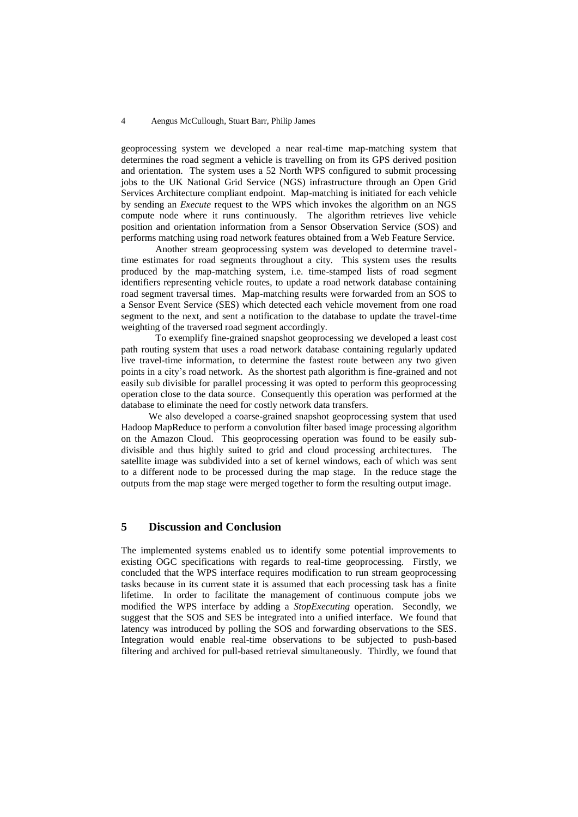#### 4 Aengus McCullough, Stuart Barr, Philip James

geoprocessing system we developed a near real-time map-matching system that determines the road segment a vehicle is travelling on from its GPS derived position and orientation. The system uses a 52 North WPS configured to submit processing jobs to the UK National Grid Service (NGS) infrastructure through an Open Grid Services Architecture compliant endpoint. Map-matching is initiated for each vehicle by sending an *Execute* request to the WPS which invokes the algorithm on an NGS compute node where it runs continuously. The algorithm retrieves live vehicle position and orientation information from a Sensor Observation Service (SOS) and performs matching using road network features obtained from a Web Feature Service.

Another stream geoprocessing system was developed to determine traveltime estimates for road segments throughout a city. This system uses the results produced by the map-matching system, i.e. time-stamped lists of road segment identifiers representing vehicle routes, to update a road network database containing road segment traversal times. Map-matching results were forwarded from an SOS to a Sensor Event Service (SES) which detected each vehicle movement from one road segment to the next, and sent a notification to the database to update the travel-time weighting of the traversed road segment accordingly.

To exemplify fine-grained snapshot geoprocessing we developed a least cost path routing system that uses a road network database containing regularly updated live travel-time information, to determine the fastest route between any two given points in a city's road network. As the shortest path algorithm is fine-grained and not easily sub divisible for parallel processing it was opted to perform this geoprocessing operation close to the data source. Consequently this operation was performed at the database to eliminate the need for costly network data transfers.

We also developed a coarse-grained snapshot geoprocessing system that used Hadoop MapReduce to perform a convolution filter based image processing algorithm on the Amazon Cloud. This geoprocessing operation was found to be easily subdivisible and thus highly suited to grid and cloud processing architectures. The satellite image was subdivided into a set of kernel windows, each of which was sent to a different node to be processed during the map stage. In the reduce stage the outputs from the map stage were merged together to form the resulting output image.

# **5 Discussion and Conclusion**

The implemented systems enabled us to identify some potential improvements to existing OGC specifications with regards to real-time geoprocessing. Firstly, we concluded that the WPS interface requires modification to run stream geoprocessing tasks because in its current state it is assumed that each processing task has a finite lifetime. In order to facilitate the management of continuous compute jobs we modified the WPS interface by adding a *StopExecuting* operation. Secondly, we suggest that the SOS and SES be integrated into a unified interface. We found that latency was introduced by polling the SOS and forwarding observations to the SES. Integration would enable real-time observations to be subjected to push-based filtering and archived for pull-based retrieval simultaneously. Thirdly, we found that